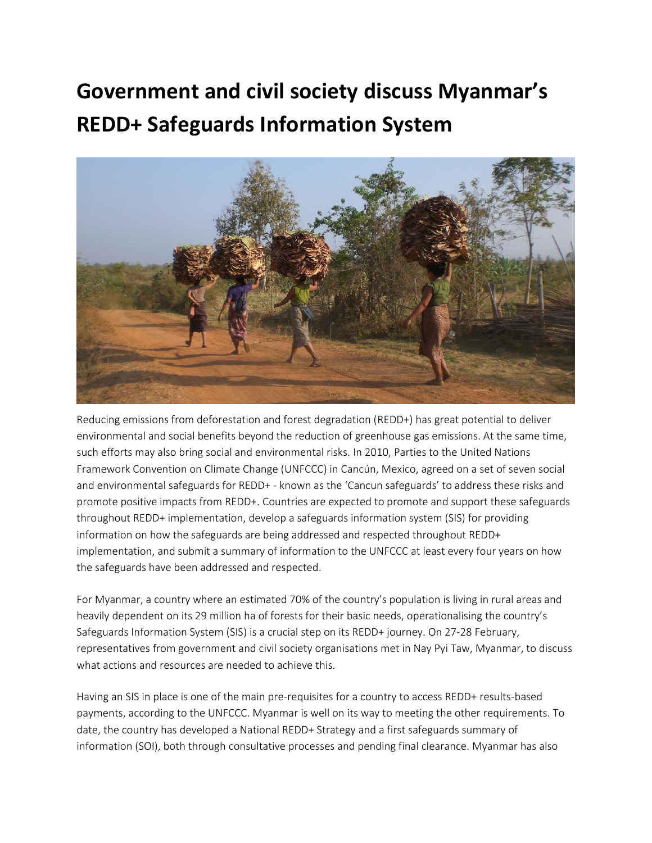# **Government and civil society discuss Myanmar's REDD+ Safeguards Information System**



Reducing emissions from deforestation and forest degradation (REDD+) has great potential to deliver environmental and social benefits beyond the reduction of greenhouse gas emissions. At the same time, such efforts may also bring social and environmental risks. In 2010, Parties to the United Nations Framework Convention on Climate Change (UNFCCC) in Cancún, Mexico, agreed on a set of seven social and environmental safeguards for REDD+ - known as the 'Cancun safeguards' to address these risks and promote positive impacts from REDD+. Countries are expected to promote and support these safeguards throughout REDD+ implementation, develop a safeguards information system (SIS) for providing information on how the safeguards are being addressed and respected throughout REDD+ implementation, and submit a summary of information to the UNFCCC at least every four years on how the safeguards have been addressed and respected.

For Myanmar, a country where an estimated 70% of the country's population is living in rural areas and heavily dependent on its 29 million ha of forests for their basic needs, operationalising the country's Safeguards Information System (SIS) is a crucial step on its REDD+ journey. On 27-28 February, representatives from government and civil society organisations met in Nay Pyi Taw, Myanmar, to discuss what actions and resources are needed to achieve this.

Having an SIS in place is one of the main pre-requisites for a country to access REDD+ results-based payments, according to the UNFCCC. Myanmar is well on its way to meeting the other requirements. To date, the country has developed a National REDD+ Strategy and a first safeguards summary of information (SOI), both through consultative processes and pending final clearance. Myanmar has also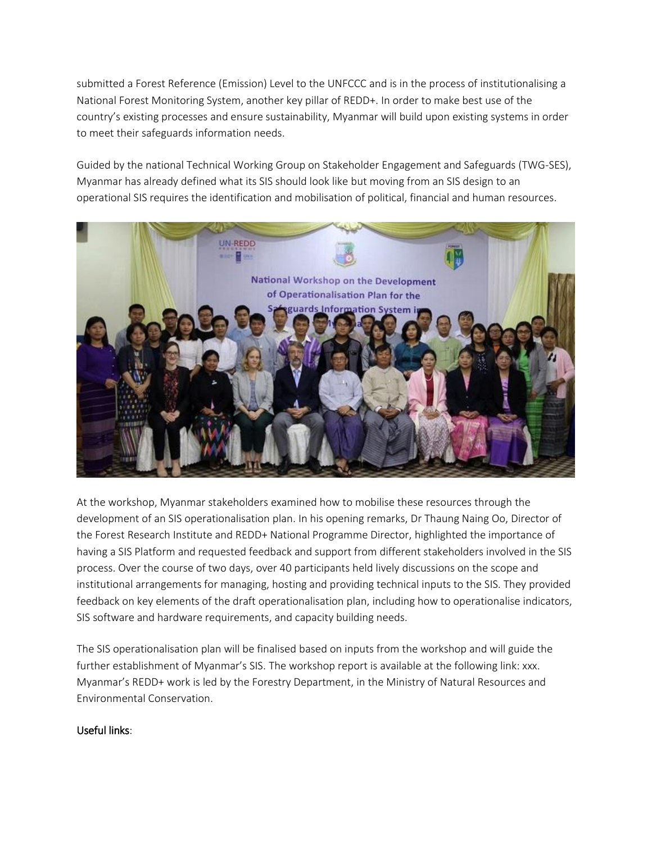submitted a Forest Reference (Emission) Level to the UNFCCC and is in the process of institutionalising a National Forest Monitoring System, another key pillar of REDD+. In order to make best use of the country's existing processes and ensure sustainability, Myanmar will build upon existing systems in order to meet their safeguards information needs.

Guided by the national Technical Working Group on Stakeholder Engagement and Safeguards (TWG-SES), Myanmar has already defined what its SIS should look like but moving from an SIS design to an operational SIS requires the identification and mobilisation of political, financial and human resources.



At the workshop, Myanmar stakeholders examined how to mobilise these resources through the development of an SIS operationalisation plan. In his opening remarks, Dr Thaung Naing Oo, Director of the Forest Research Institute and REDD+ National Programme Director, highlighted the importance of having a SIS Platform and requested feedback and support from different stakeholders involved in the SIS process. Over the course of two days, over 40 participants held lively discussions on the scope and institutional arrangements for managing, hosting and providing technical inputs to the SIS. They provided feedback on key elements of the draft operationalisation plan, including how to operationalise indicators, SIS software and hardware requirements, and capacity building needs.

The SIS operationalisation plan will be finalised based on inputs from the workshop and will guide the further establishment of Myanmar's SIS. The workshop report is available at the following link: xxx. Myanmar's REDD+ work is led by the Forestry Department, in the Ministry of Natural Resources and Environmental Conservation.

## Useful links: